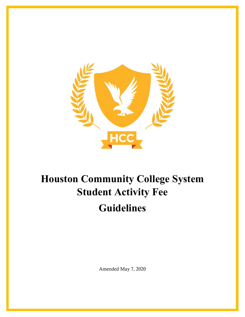

# **Houston Community College System Student Activity Fee Guidelines**

Amended May 7, 2020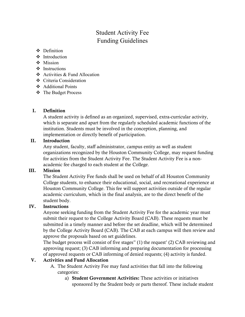# Student Activity Fee Funding Guidelines

- **❖** Definition
- ❖ Introduction
- $Mission$
- ❖ Instructions
- Activities & Fund Allocation
- ❖ Criteria Consideration
- Additional Points
- The Budget Process

#### I. Definition

A student activity is defined as an organized, supervised, extra-curricular activity, which is separate and apart from the regularly scheduled academic functions of the institution. Students must be involved in the conception, planning, and implementation or directly benefit of participation.

#### II. Introduction

Any student, faculty, staff administrator, campus entity as well as student organizations recognized by the Houston Community College, may request funding for activities from the Student Activity Fee. The Student Activity Fee is a nonacademic fee charged to each student at the College.

#### III. Mission

The Student Activity Fee funds shall be used on behalf of all Houston Community College students, to enhance their educational, social, and recreational experience at Houston Community College. This fee will support activities outside of the regular academic curriculum, which in the final analysis, are to the direct benefit of the student body.

#### IV. Instructions

Anyone seeking funding from the Student Activity Fee for the academic year must submit their request to the College Activity Board (CAB). These requests must be submitted in a timely manner and before the set deadline, which will be determined by the College Activity Board (CAB). The CAB at each campus will then review and approve the proposals based on set guidelines.

The budget process will consist of five stages" (1) the request' (2) CAB reviewing and approving request; (3) CAB informing and preparing documentation for processing of approved requests or CAB informing of denied requests; (4) activity is funded.

#### V. Activities and Fund Allocation

- A. The Student Activity Fee may fund activities that fall into the following categories:
	- a) Student Government Activities: These activities or initiatives sponsored by the Student body or parts thereof. These include student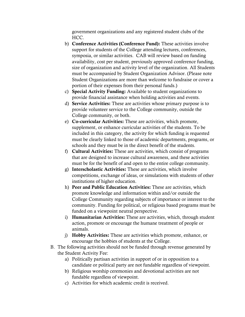government organizations and any registered student clubs of the HCC.

- b) Conference Activities (Conference Fund): These activities involve support for students of the College attending lectures, conferences, symposia, or similar activities. CAB will review based on funding availability, cost per student, previously approved conference funding, size of organization and activity level of the organization. All Students must be accompanied by Student Organization Advisor. (Please note Student Organizations are more than welcome to fundraise or cover a portion of their expenses from their personal funds.)
- c) Special Activity Funding: Available to student organizations to provide financial assistance when holding activities and events.
- d) Service Activities: These are activities whose primary purpose is to provide volunteer service to the College community, outside the College community, or both.
- e) Co-curricular Activities: These are activities, which promote, supplement, or enhance curricular activities of the students. To be included in this category, the activity for which funding is requested must be clearly linked to those of academic departments, programs, or schools and they must be in the direct benefit of the students.
- f) Cultural Activities: These are activities, which consist of programs that are designed to increase cultural awareness, and these activities must be for the benefit of and open to the entire college community.
- g) Interscholastic Activities: These are activities, which involve competitions, exchange of ideas, or simulations with students of other institutions of higher education.
- h) Peer and Public Education Activities: These are activities, which promote knowledge and information within and/or outside the College Community regarding subjects of importance or interest to the community. Funding for political, or religious based programs must be funded on a viewpoint neutral perspective.
- i) Humanitarian Activities: These are activities, which, through student action, promote or encourage the humane treatment of people or animals.
- j) Hobby Activities: These are activities which promote, enhance, or encourage the hobbies of students at the College.
- B. The following activities should not be funded through revenue generated by the Student Activity Fee:
	- a) Politically partisan activities in support of or in opposition to a candidate or political party are not fundable regardless of viewpoint.
	- b) Religious worship ceremonies and devotional activities are not fundable regardless of viewpoint.
	- c) Activities for which academic credit is received.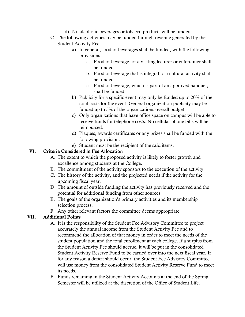- d) No alcoholic beverages or tobacco products will be funded.
- C. The following activities may be funded through revenue generated by the Student Activity Fee:
	- a) In general, food or beverages shall be funded, with the following provisions:
		- a. Food or beverage for a visiting lecturer or entertainer shall be funded.
		- b. Food or beverage that is integral to a cultural activity shall be funded.
		- c. Food or beverage, which is part of an approved banquet, shall be funded.
	- b) Publicity for a specific event may only be funded up to 20% of the total costs for the event. General organization publicity may be funded up to 5% of the organizations overall budget.
	- c) Only organizations that have office space on campus will be able to receive funds for telephone costs. No cellular phone bills will be reimbursed.
	- d) Plaques, awards certificates or any prizes shall be funded with the following provision:
	- e) Student must be the recipient of the said items.

#### VI. Criteria Considered in Fee Allocation

- A. The extent to which the proposed activity is likely to foster growth and excellence among students at the College.
- B. The commitment of the activity sponsors to the execution of the activity.
- C. The history of the activity, and the projected needs if the activity for the upcoming fiscal year.
- D. The amount of outside funding the activity has previously received and the potential for additional funding from other sources.
- E. The goals of the organization's primary activities and its membership selection process.
- F. Any other relevant factors the committee deems appropriate.

#### VII. Additional Points

- A. It is the responsibility of the Student Fee Advisory Committee to project accurately the annual income from the Student Activity Fee and to recommend the allocation of that money in order to meet the needs of the student population and the total enrollment at each college. If a surplus from the Student Activity Fee should accrue, it will be put in the consolidated Student Activity Reserve Fund to be carried over into the next fiscal year. If for any reason a deficit should occur, the Student Fee Advisory Committee will use money from the consolidated Student Activity Reserve Fund to meet its needs.
- B. Funds remaining in the Student Activity Accounts at the end of the Spring Semester will be utilized at the discretion of the Office of Student Life.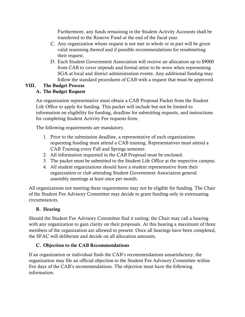Furthermore, any funds remaining in the Student Activity Accounts shall be transferred to the Reserve Fund at the end of the fiscal year.

- C. Any organization whose request is not met in whole or in part will be given valid reasoning thereof and if possible recommendations for resubmitting their request.
- D. Each Student Government Association will receive an allocation up to \$9000 from CAB to cover stipends and formal attire to be worn when representing SGA at local and district administration events. Any additional funding may follow the standard procedures of CAB with a request that must be approved.

# VIII. The Budget Process

## A. The Budget Request

An organization representative must obtain a CAB Proposal Packet from the Student Life Office to apply for funding. This packet will include but not be limited to information on eligibility for funding, deadline for submitting requests, and instructions for completing Student Activity Fee requests form.

The following requirements are mandatory.

- 1. Prior to the submission deadline, a representative of each organizations requesting funding must attend a CAB training. Representatives must attend a CAB Training every Fall and Springs semester.
- 2. All information requested in the CAB Proposal must be enclosed.
- 3. The packet must be submitted to the Student Life Office at the respective campus.
- 4. All student organizations should have a student representative from their organization or club attending Student Government Association general assembly meetings at least once per month.

All organizations not meeting these requirements may not be eligible for funding. The Chair of the Student Fee Advisory Committee may decide to grant funding only in extenuating circumstances.

## B. Hearing

Should the Student Fee Advisory Committee find it suiting; the Chair may call a hearing with any organization to gain clarity on their proposals. At this hearing a maximum of three members of the organization are allowed to present. Once all hearings have been completed, the SFAC will deliberate and decide on all allocation amounts.

### C. Objection to the CAB Recommendations

If an organization or individual finds the CAB's recommendations unsatisfactory, the organization may file an official objection to the Student Fee Advisory Committee within five days of the CAB's recommendations. The objection must have the following information: